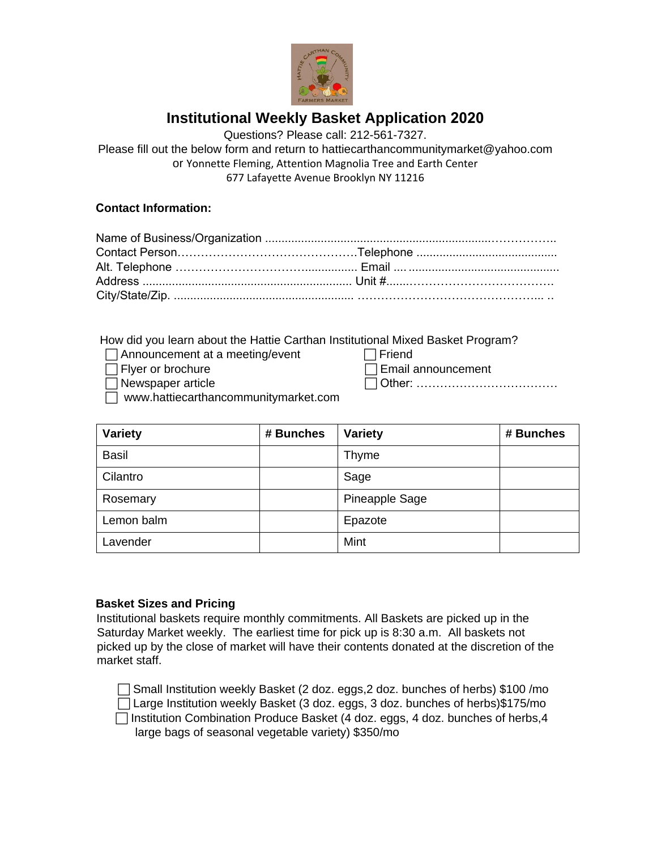

# **Institutional Weekly Basket Application 2020**

Questions? Please call: 212-561-7327.

Please fill out the below form and return to hattiecarthancommunitymarket@yahoo.com or Yonnette Fleming, Attention Magnolia Tree and Earth Center 677 Lafayette Avenue Brooklyn NY 11216

## **Contact Information:**

| Address ………………………………………………………… Unit #………………………………………… |  |
|-------------------------------------------------------|--|
|                                                       |  |

How did you learn about the Hattie Carthan Institutional Mixed Basket Program?

- $\Box$  Announcement at a meeting/event  $\Box$  Friend
- 
- $\Box$  Flyer or brochure  $\Box$  Email announcement
- □ Newspaper article Text Contract Contract Contract Contract Contract Contract Contract Contract Contract Contract Contract Contract Contract Contract Contract Contract Contract Contract Contract Contract Contract Contrac
- www.hattiecarthancommunitymarket.com

| <b>Variety</b> | # Bunches | <b>Variety</b> | # Bunches |
|----------------|-----------|----------------|-----------|
| <b>Basil</b>   |           | Thyme          |           |
| Cilantro       |           | Sage           |           |
| Rosemary       |           | Pineapple Sage |           |
| Lemon balm     |           | Epazote        |           |
| Lavender       |           | Mint           |           |

## **Basket Sizes and Pricing**

Institutional baskets require monthly commitments. All Baskets are picked up in the Saturday Market weekly. The earliest time for pick up is 8:30 a.m. All baskets not picked up by the close of market will have their contents donated at the discretion of the market staff.

 Small Institution weekly Basket (2 doz. eggs,2 doz. bunches of herbs) \$100 /mo Large Institution weekly Basket (3 doz. eggs, 3 doz. bunches of herbs)\$175/mo  $\Box$  Institution Combination Produce Basket (4 doz. eggs, 4 doz. bunches of herbs, 4

large bags of seasonal vegetable variety) \$350/mo